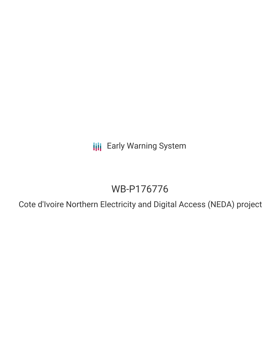**III** Early Warning System

# WB-P176776

Cote d'Ivoire Northern Electricity and Digital Access (NEDA) project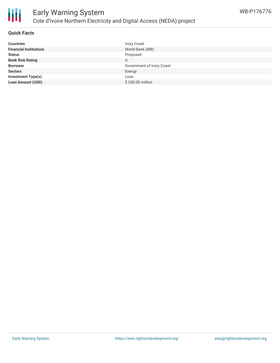

## **Quick Facts**

| <b>Countries</b>              | Ivory Coast               |
|-------------------------------|---------------------------|
| <b>Financial Institutions</b> | World Bank (WB)           |
| <b>Status</b>                 | Proposed                  |
| <b>Bank Risk Rating</b>       |                           |
| <b>Borrower</b>               | Government of Ivory Coast |
| <b>Sectors</b>                | Energy                    |
| <b>Investment Type(s)</b>     | Loan                      |
| <b>Loan Amount (USD)</b>      | \$250.00 million          |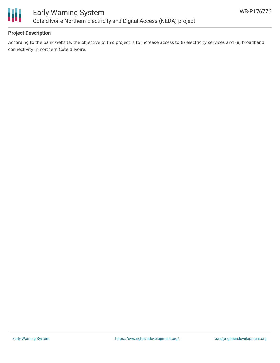

# **Project Description**

According to the bank website, the objective of this project is to increase access to (i) electricity services and (ii) broadband connectivity in northern Cote d'Ivoire.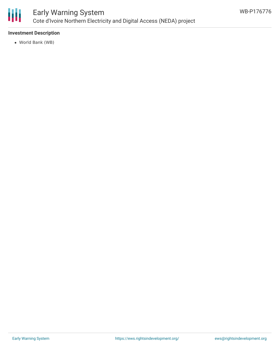

# Early Warning System Cote d'Ivoire Northern Electricity and Digital Access (NEDA) project

# **Investment Description**

World Bank (WB)